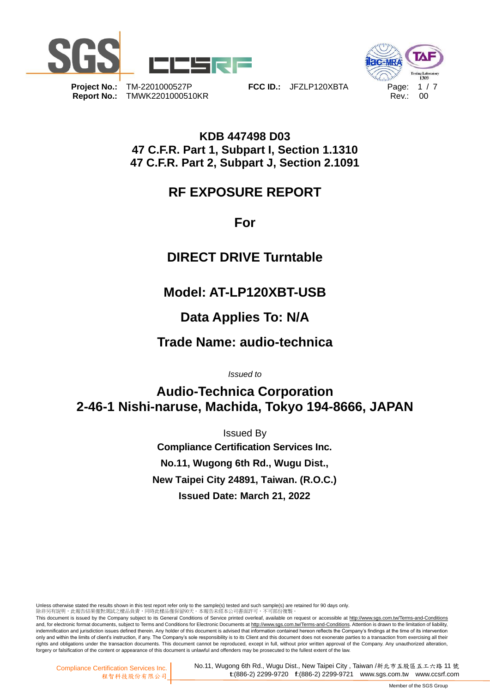



**Report No.:** TMWK2201000510KR **Report No.: 00** 

**Project No.:** TM-2201000527P **FCC ID.:** JFZLP120XBTA Page: 1 / 7

**KDB 447498 D03 47 C.F.R. Part 1, Subpart I, Section 1.1310 47 C.F.R. Part 2, Subpart J, Section 2.1091**

## **RF EXPOSURE REPORT**

**For**

# **DIRECT DRIVE Turntable**

# **Model: AT-LP120XBT-USB**

# **Data Applies To: N/A**

# **Trade Name: audio-technica**

*Issued to*

# **Audio-Technica Corporation 2-46-1 Nishi-naruse, Machida, Tokyo 194-8666, JAPAN**

Issued By **Compliance Certification Services Inc. No.11, Wugong 6th Rd., Wugu Dist., New Taipei City 24891, Taiwan. (R.O.C.) Issued Date: March 21, 2022**

Unless otherwise stated the results shown in this test report refer only to the sample(s) tested and such sample(s) are retained for 90 days only.<br>除非另有說明,此報告結果僅對測試之樣品負責,同時此樣品僅保留90天。本報告未經本公司書面許可,不可部份複製。

This document is issued by the Company subject to its General Conditions of Service printed overleaf, available on request or accessible at http://www.sgs.com.tw/Terms-and-Conditions and, for electronic format documents, subject to Terms and Conditions for Electronic Documents at http://www.sgs.com.tw/Terms-and-Conditions. Attention is drawn to the limitation of liability, indemnification and jurisdiction issues defined therein. Any holder of this document is advised that information contained hereon reflects the Company's findings at the time of its intervention<br>only and within the limits o rights and obligations under the transaction documents. This document cannot be reproduced, except in full, without prior written approval of the Company. Any unauthorized alteration, forgery or falsification of the content or appearance of this document is unlawful and offenders may be prosecuted to the fullest extent of the law.

No.11, Wugong 6th Rd., Wugu Dist., New Taipei City , Taiwan /新北市五股區五工六路 11 號 **t**:(886-2) 2299-9720 **f**:(886-2) 2299-9721 www.sgs.com.tw www.ccsrf.com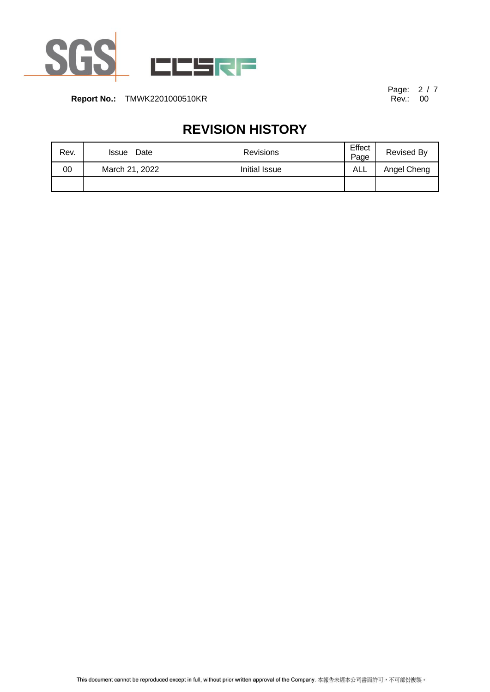

Page: 2 / 7<br>Rev.: 00

# **REVISION HISTORY**

| Rev. | Date<br><b>Issue</b> | <b>Revisions</b> | Effect<br>Page | Revised By  |
|------|----------------------|------------------|----------------|-------------|
| 00   | March 21, 2022       | Initial Issue    | ALL            | Angel Cheng |
|      |                      |                  |                |             |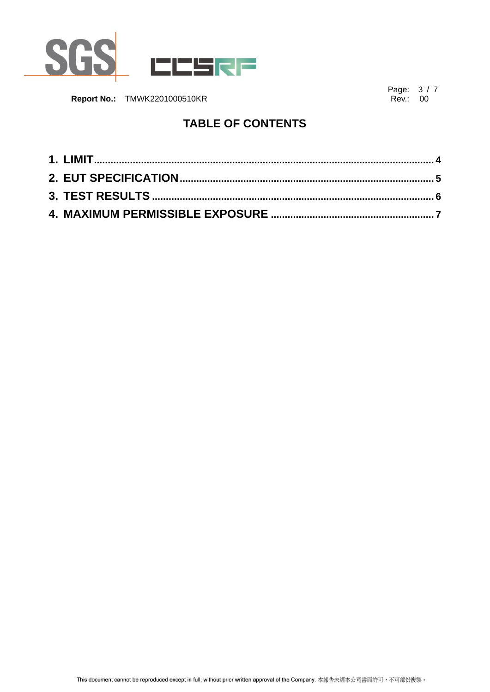

Page: 3 / 7<br>Rev.: 00

#### **TABLE OF CONTENTS**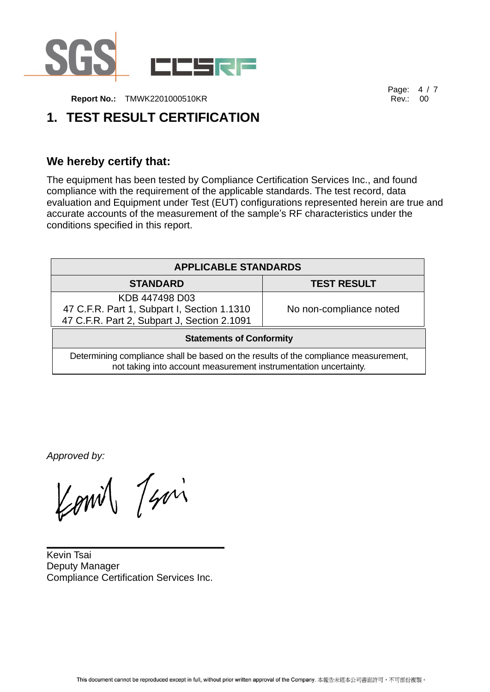

Page: 4 / 7<br>Rev.: 00

### <span id="page-3-0"></span>**1. TEST RESULT CERTIFICATION**

#### **We hereby certify that:**

The equipment has been tested by Compliance Certification Services Inc., and found compliance with the requirement of the applicable standards. The test record, data evaluation and Equipment under Test (EUT) configurations represented herein are true and accurate accounts of the measurement of the sample's RF characteristics under the conditions specified in this report.

| <b>APPLICABLE STANDARDS</b>                                                                                                                             |                         |  |  |
|---------------------------------------------------------------------------------------------------------------------------------------------------------|-------------------------|--|--|
| <b>STANDARD</b>                                                                                                                                         | <b>TEST RESULT</b>      |  |  |
| KDB 447498 D03                                                                                                                                          |                         |  |  |
| 47 C.F.R. Part 1, Subpart I, Section 1.1310                                                                                                             | No non-compliance noted |  |  |
| 47 C.F.R. Part 2, Subpart J, Section 2.1091                                                                                                             |                         |  |  |
| <b>Statements of Conformity</b>                                                                                                                         |                         |  |  |
| Determining compliance shall be based on the results of the compliance measurement,<br>not taking into account measurement instrumentation uncertainty. |                         |  |  |

*Approved by:*

Komil Javi

Kevin Tsai Deputy Manager Compliance Certification Services Inc.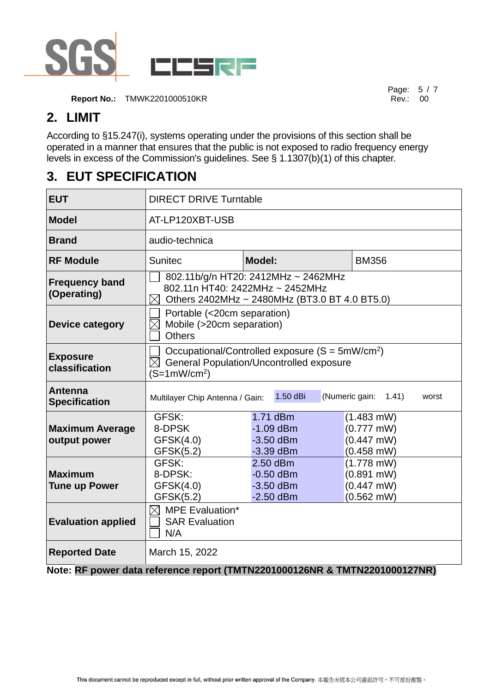

**Report No.:** TMWK2201000510KR **Report No.: TMWK2201000510KR** 

Page: 5 / 7

#### **2. LIMIT**

According to §15.247(i), systems operating under the provisions of this section shall be operated in a manner that ensures that the public is not exposed to radio frequency energy levels in excess of the Commission's guidelines. See § 1.1307(b)(1) of this chapter.

#### <span id="page-4-0"></span>**3. EUT SPECIFICATION**

| <b>EUT</b>                             | <b>DIRECT DRIVE Turntable</b>                                                                                                          |                                                                            |                                                                      |  |  |
|----------------------------------------|----------------------------------------------------------------------------------------------------------------------------------------|----------------------------------------------------------------------------|----------------------------------------------------------------------|--|--|
| <b>Model</b>                           | AT-LP120XBT-USB                                                                                                                        |                                                                            |                                                                      |  |  |
| <b>Brand</b>                           | audio-technica                                                                                                                         |                                                                            |                                                                      |  |  |
| <b>RF Module</b>                       | <b>Sunitec</b>                                                                                                                         | <b>Model:</b>                                                              | <b>BM356</b>                                                         |  |  |
| <b>Frequency band</b><br>(Operating)   | 802.11b/g/n HT20: 2412MHz ~ 2462MHz<br>802.11n HT40: 2422MHz ~ 2452MHz<br>Others 2402MHz ~ 2480MHz (BT3.0 BT 4.0 BT5.0)<br>$\boxtimes$ |                                                                            |                                                                      |  |  |
| <b>Device category</b>                 | Portable (<20cm separation)<br>Mobile (>20cm separation)<br><b>Others</b>                                                              |                                                                            |                                                                      |  |  |
| <b>Exposure</b><br>classification      | Occupational/Controlled exposure $(S = 5mW/cm2)$<br><b>General Population/Uncontrolled exposure</b><br>$(S=1mW/cm2)$                   |                                                                            |                                                                      |  |  |
| <b>Antenna</b><br><b>Specification</b> | Multilayer Chip Antenna / Gain:                                                                                                        | 1.50 dBi                                                                   | (Numeric gain:<br>1.41)<br>worst                                     |  |  |
| <b>Maximum Average</b><br>output power | GFSK:<br>8-DPSK<br>GFSK(4.0)<br>GFSK(5.2)                                                                                              | 1.71 dBm<br>$-1.09$ dBm<br>$-3.50$ dBm<br>$-3.39$ dBm                      | $(1.483$ mW)<br>$(0.777 \text{ mW})$<br>$(0.447$ mW)<br>$(0.458$ mW) |  |  |
| <b>Maximum</b><br><b>Tune up Power</b> | GFSK:<br>8-DPSK:<br>GFSK(4.0)<br>GFSK(5.2)                                                                                             | 2.50 dBm<br>$-0.50$ dBm<br>$-3.50$ dBm<br>$-2.50$ dBm                      | $(1.778$ mW)<br>$(0.891$ mW)<br>$(0.447$ mW)<br>$(0.562$ mW)         |  |  |
| <b>Evaluation applied</b>              | <b>MPE Evaluation*</b><br>$\times$<br><b>SAR Evaluation</b><br>N/A                                                                     |                                                                            |                                                                      |  |  |
| <b>Reported Date</b>                   | March 15, 2022                                                                                                                         | Note: RF power data reference report (TMTN2201000126NR & TMTN2201000127NR) |                                                                      |  |  |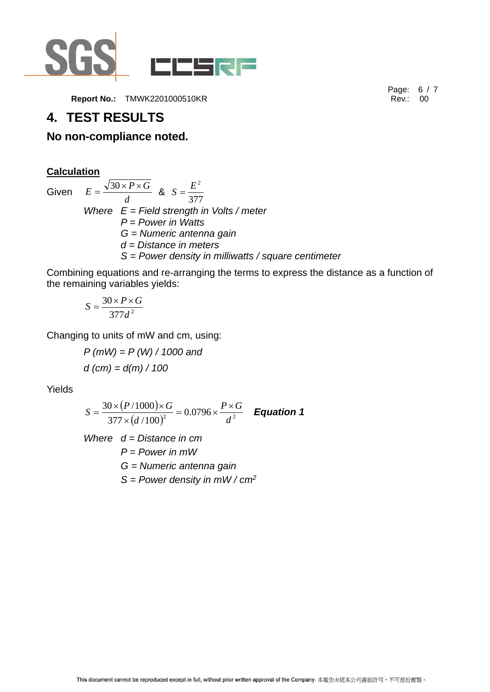

#### <span id="page-5-0"></span>**4. TEST RESULTS**

#### **No non-compliance noted.**

**Calculation** Given *d*  $E = \frac{\sqrt{30 \times P \times G}}{4}$  & 377  $S = \frac{E^2}{2\pi}$ *Where E = Field strength in Volts / meter P = Power in Watts G = Numeric antenna gain d = Distance in meters S = Power density in milliwatts / square centimeter*

Combining equations and re-arranging the terms to express the distance as a function of the remaining variables yields:

$$
S = \frac{30 \times P \times G}{377d^2}
$$

Changing to units of mW and cm, using:

*P (mW) = P (W) / 1000 and d (cm) = d(m) / 100*

Yields

$$
S = \frac{30 \times (P/1000) \times G}{377 \times (d/100)^2} = 0.0796 \times \frac{P \times G}{d^2}
$$
 Equation 1

*Where d = Distance in cm P = Power in mW G = Numeric antenna gain S = Power density in mW / cm<sup>2</sup>* Page: 6 / 7<br>Rev.: 00